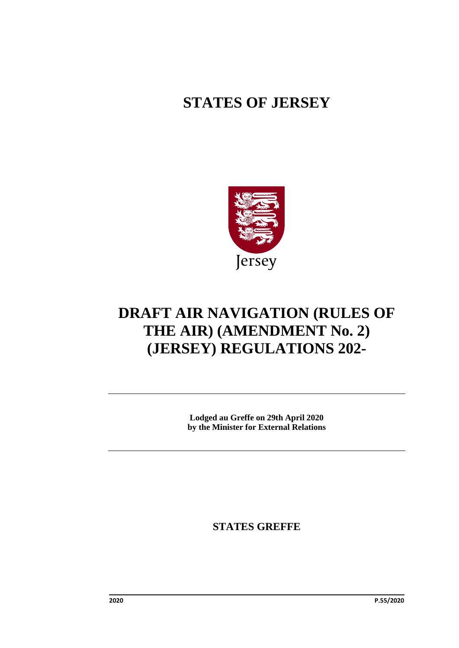# **STATES OF JERSEY**



# **DRAFT AIR NAVIGATION (RULES OF THE AIR) (AMENDMENT No. 2) (JERSEY) REGULATIONS 202-**

**Lodged au Greffe on 29th April 2020 by the Minister for External Relations**

**STATES GREFFE**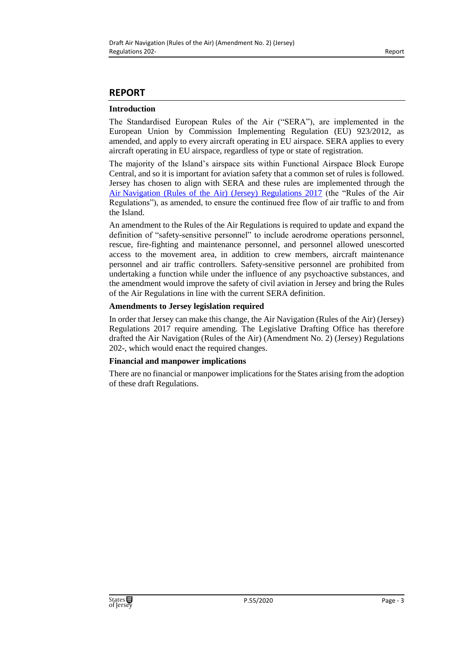#### **REPORT**

#### **Introduction**

The Standardised European Rules of the Air ("SERA"), are implemented in the European Union by Commission Implementing Regulation (EU) 923/2012, as amended, and apply to every aircraft operating in EU airspace. SERA applies to every aircraft operating in EU airspace, regardless of type or state of registration.

The majority of the Island's airspace sits within Functional Airspace Block Europe Central, and so it is important for aviation safety that a common set of rules is followed. Jersey has chosen to align with SERA and these rules are implemented through the Air [Navigation \(Rules of the Air\) \(Jersey\) Regulations 2017](https://www.jerseylaw.je/laws/revised/Pages/03.250.65.aspx) (the "Rules of the Air Regulations"), as amended, to ensure the continued free flow of air traffic to and from the Island.

An amendment to the Rules of the Air Regulations is required to update and expand the definition of "safety-sensitive personnel" to include aerodrome operations personnel, rescue, fire-fighting and maintenance personnel, and personnel allowed unescorted access to the movement area, in addition to crew members, aircraft maintenance personnel and air traffic controllers. Safety-sensitive personnel are prohibited from undertaking a function while under the influence of any psychoactive substances, and the amendment would improve the safety of civil aviation in Jersey and bring the Rules of the Air Regulations in line with the current SERA definition.

#### **Amendments to Jersey legislation required**

In order that Jersey can make this change, the Air Navigation (Rules of the Air) (Jersey) Regulations 2017 require amending. The Legislative Drafting Office has therefore drafted the Air Navigation (Rules of the Air) (Amendment No. 2) (Jersey) Regulations 202-, which would enact the required changes.

#### **Financial and manpower implications**

There are no financial or manpower implications for the States arising from the adoption of these draft Regulations.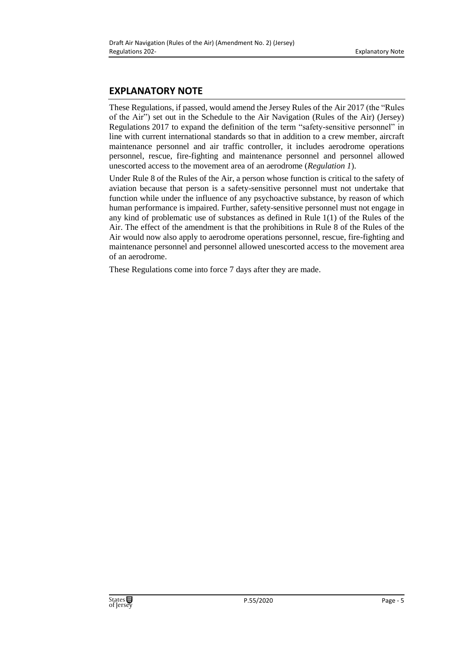### **EXPLANATORY NOTE**

These Regulations, if passed, would amend the Jersey Rules of the Air 2017 (the "Rules of the Air") set out in the Schedule to the Air Navigation (Rules of the Air) (Jersey) Regulations 2017 to expand the definition of the term "safety-sensitive personnel" in line with current international standards so that in addition to a crew member, aircraft maintenance personnel and air traffic controller, it includes aerodrome operations personnel, rescue, fire-fighting and maintenance personnel and personnel allowed unescorted access to the movement area of an aerodrome (*Regulation 1*).

Under Rule 8 of the Rules of the Air, a person whose function is critical to the safety of aviation because that person is a safety-sensitive personnel must not undertake that function while under the influence of any psychoactive substance, by reason of which human performance is impaired. Further, safety-sensitive personnel must not engage in any kind of problematic use of substances as defined in Rule 1(1) of the Rules of the Air. The effect of the amendment is that the prohibitions in Rule 8 of the Rules of the Air would now also apply to aerodrome operations personnel, rescue, fire-fighting and maintenance personnel and personnel allowed unescorted access to the movement area of an aerodrome.

These Regulations come into force 7 days after they are made.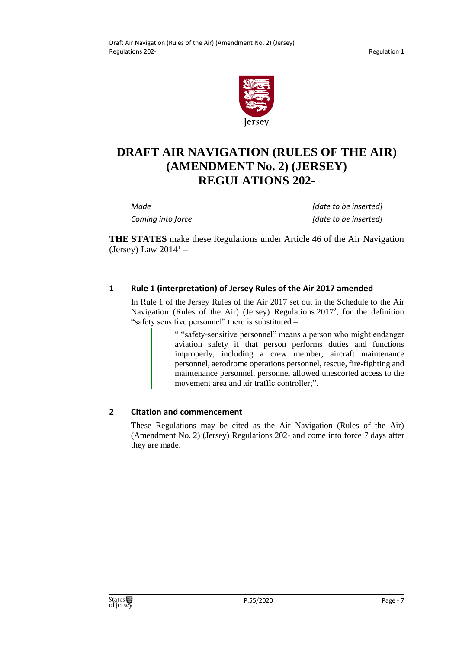

# **DRAFT AIR NAVIGATION (RULES OF THE AIR) (AMENDMENT No. 2) (JERSEY) REGULATIONS 202-**

*Made [date to be inserted] Coming into force [date to be inserted]*

**THE STATES** make these Regulations under Article 46 of the Air Navigation (Jersey) Law  $2014<sup>1</sup>$  –

### **1 Rule 1 (interpretation) of Jersey Rules of the Air 2017 amended**

In Rule 1 of the Jersey Rules of the Air 2017 set out in the Schedule to the Air Navigation (Rules of the Air) (Jersey) Regulations  $2017^2$ , for the definition "safety sensitive personnel" there is substituted –

> " "safety-sensitive personnel" means a person who might endanger aviation safety if that person performs duties and functions improperly, including a crew member, aircraft maintenance personnel, aerodrome operations personnel, rescue, fire-fighting and maintenance personnel, personnel allowed unescorted access to the movement area and air traffic controller;".

## **2 Citation and commencement**

These Regulations may be cited as the Air Navigation (Rules of the Air) (Amendment No. 2) (Jersey) Regulations 202- and come into force 7 days after they are made.